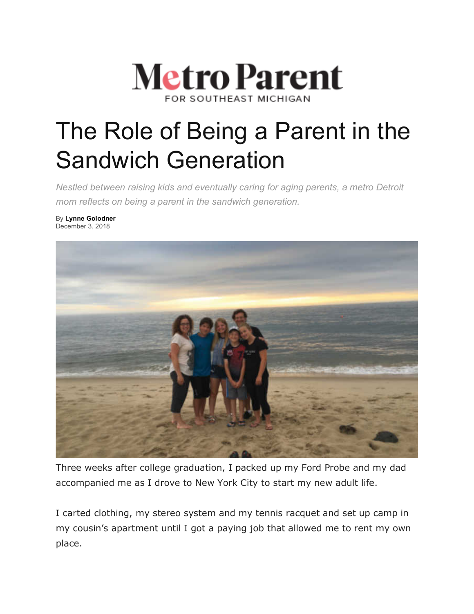

# The Role of Being a Parent in the Sandwich Generation

*Nestled between raising kids and eventually caring for aging parents, a metro Detroit mom reflects on being a parent in the sandwich generation.*

By **Lynne Golodner** December 3, 2018



Three weeks after college graduation, I packed up my Ford Probe and my dad accompanied me as I drove to New York City to start my new adult life.

I carted clothing, my stereo system and my tennis racquet and set up camp in my cousin's apartment until I got a paying job that allowed me to rent my own place.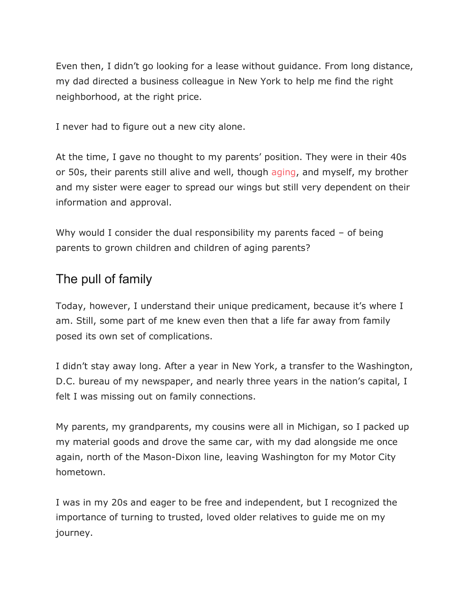Even then, I didn't go looking for a lease without guidance. From long distance, my dad directed a business colleague in New York to help me find the right neighborhood, at the right price.

I never had to figure out a new city alone.

At the time, I gave no thought to my parents' position. They were in their 40s or 50s, their parents still alive and well, though aging, and myself, my brother and my sister were eager to spread our wings but still very dependent on their information and approval.

Why would I consider the dual responsibility my parents faced – of being parents to grown children and children of aging parents?

## The pull of family

Today, however, I understand their unique predicament, because it's where I am. Still, some part of me knew even then that a life far away from family posed its own set of complications.

I didn't stay away long. After a year in New York, a transfer to the Washington, D.C. bureau of my newspaper, and nearly three years in the nation's capital, I felt I was missing out on family connections.

My parents, my grandparents, my cousins were all in Michigan, so I packed up my material goods and drove the same car, with my dad alongside me once again, north of the Mason-Dixon line, leaving Washington for my Motor City hometown.

I was in my 20s and eager to be free and independent, but I recognized the importance of turning to trusted, loved older relatives to guide me on my journey.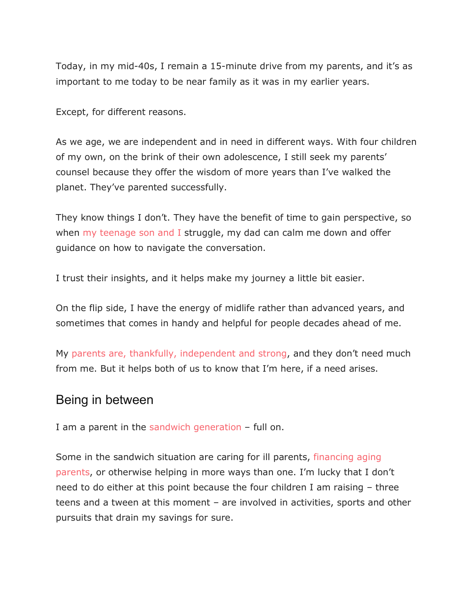Today, in my mid-40s, I remain a 15-minute drive from my parents, and it's as important to me today to be near family as it was in my earlier years.

Except, for different reasons.

As we age, we are independent and in need in different ways. With four children of my own, on the brink of their own adolescence, I still seek my parents' counsel because they offer the wisdom of more years than I've walked the planet. They've parented successfully.

They know things I don't. They have the benefit of time to gain perspective, so when my teenage son and I struggle, my dad can calm me down and offer guidance on how to navigate the conversation.

I trust their insights, and it helps make my journey a little bit easier.

On the flip side, I have the energy of midlife rather than advanced years, and sometimes that comes in handy and helpful for people decades ahead of me.

My parents are, thankfully, independent and strong, and they don't need much from me. But it helps both of us to know that I'm here, if a need arises.

### Being in between

I am a parent in the sandwich generation – full on.

Some in the sandwich situation are caring for ill parents, financing aging parents, or otherwise helping in more ways than one. I'm lucky that I don't need to do either at this point because the four children I am raising – three teens and a tween at this moment – are involved in activities, sports and other pursuits that drain my savings for sure.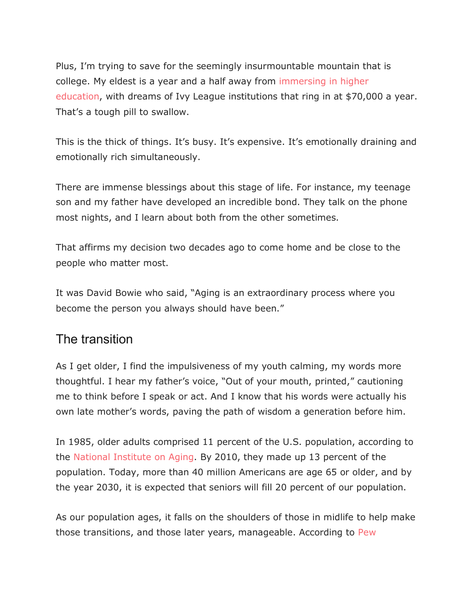Plus, I'm trying to save for the seemingly insurmountable mountain that is college. My eldest is a year and a half away from immersing in higher education, with dreams of Ivy League institutions that ring in at \$70,000 a year. That's a tough pill to swallow.

This is the thick of things. It's busy. It's expensive. It's emotionally draining and emotionally rich simultaneously.

There are immense blessings about this stage of life. For instance, my teenage son and my father have developed an incredible bond. They talk on the phone most nights, and I learn about both from the other sometimes.

That affirms my decision two decades ago to come home and be close to the people who matter most.

It was David Bowie who said, "Aging is an extraordinary process where you become the person you always should have been."

## The transition

As I get older, I find the impulsiveness of my youth calming, my words more thoughtful. I hear my father's voice, "Out of your mouth, printed," cautioning me to think before I speak or act. And I know that his words were actually his own late mother's words, paving the path of wisdom a generation before him.

In 1985, older adults comprised 11 percent of the U.S. population, according to the National Institute on Aging. By 2010, they made up 13 percent of the population. Today, more than 40 million Americans are age 65 or older, and by the year 2030, it is expected that seniors will fill 20 percent of our population.

As our population ages, it falls on the shoulders of those in midlife to help make those transitions, and those later years, manageable. According to Pew